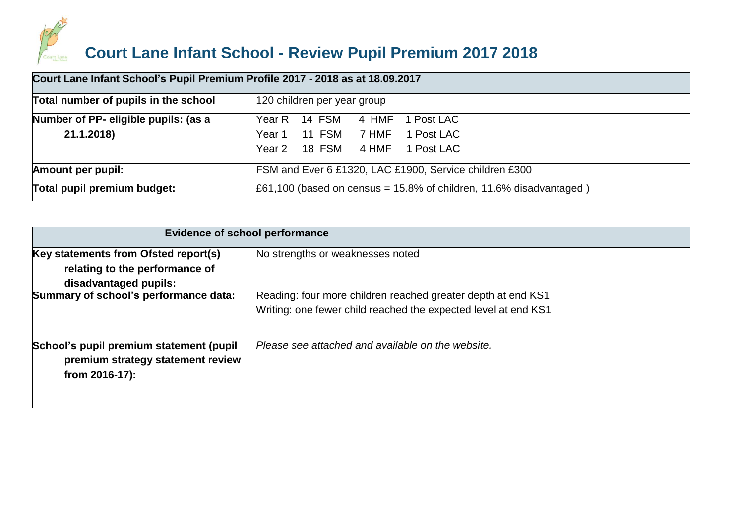

|                                      | Court Lane Infant School's Pupil Premium Profile 2017 - 2018 as at 18.09.2017 |  |  |  |
|--------------------------------------|-------------------------------------------------------------------------------|--|--|--|
| Total number of pupils in the school | 120 children per year group                                                   |  |  |  |
| Number of PP- eligible pupils: (as a | Year R 14 FSM<br>4 HMF<br>1 Post LAC                                          |  |  |  |
| 21.1.2018)                           | Year 1 11 FSM 7 HMF 1 Post LAC                                                |  |  |  |
|                                      | Year 2 18 FSM 4 HMF 1 Post LAC                                                |  |  |  |
| <b>Amount per pupil:</b>             | FSM and Ever 6 £1320, LAC £1900, Service children £300                        |  |  |  |
| Total pupil premium budget:          | $\pounds 61,100$ (based on census = 15.8% of children, 11.6% disadvantaged)   |  |  |  |

|                                                                                                | <b>Evidence of school performance</b>                          |  |  |  |  |
|------------------------------------------------------------------------------------------------|----------------------------------------------------------------|--|--|--|--|
| Key statements from Ofsted report(s)                                                           | No strengths or weaknesses noted                               |  |  |  |  |
| relating to the performance of                                                                 |                                                                |  |  |  |  |
| disadvantaged pupils:                                                                          |                                                                |  |  |  |  |
| Summary of school's performance data:                                                          | Reading: four more children reached greater depth at end KS1   |  |  |  |  |
|                                                                                                | Writing: one fewer child reached the expected level at end KS1 |  |  |  |  |
| School's pupil premium statement (pupil<br>premium strategy statement review<br>from 2016-17): | Please see attached and available on the website.              |  |  |  |  |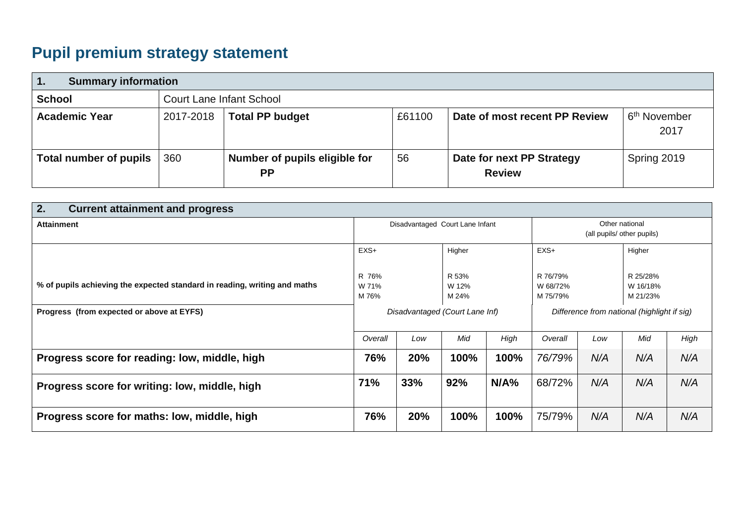# **Pupil premium strategy statement**

| $\mathbf 1$ .                                    | <b>Summary information</b>          |                                            |        |                                            |                                   |
|--------------------------------------------------|-------------------------------------|--------------------------------------------|--------|--------------------------------------------|-----------------------------------|
| <b>School</b><br><b>Court Lane Infant School</b> |                                     |                                            |        |                                            |                                   |
| <b>Academic Year</b>                             | <b>Total PP budget</b><br>2017-2018 |                                            | £61100 | Date of most recent PP Review              | ⊢6 <sup>th</sup> November<br>2017 |
| <b>Total number of pupils</b>                    | 360                                 | Number of pupils eligible for<br><b>PP</b> | 56     | Date for next PP Strategy<br><b>Review</b> | Spring 2019                       |

| 2.<br><b>Current attainment and progress</b>                              |                                 |     |                         |                                              |                                  |     |                                  |      |
|---------------------------------------------------------------------------|---------------------------------|-----|-------------------------|----------------------------------------------|----------------------------------|-----|----------------------------------|------|
| <b>Attainment</b>                                                         | Disadvantaged Court Lane Infant |     |                         | Other national<br>(all pupils/ other pupils) |                                  |     |                                  |      |
|                                                                           | $EXS+$                          |     | Higher                  |                                              | $EXS+$                           |     | Higher                           |      |
| % of pupils achieving the expected standard in reading, writing and maths | R 76%<br>W 71%<br>M 76%         |     | R 53%<br>W 12%<br>M 24% |                                              | R 76/79%<br>W 68/72%<br>M 75/79% |     | R 25/28%<br>W 16/18%<br>M 21/23% |      |
| Progress (from expected or above at EYFS)                                 | Disadvantaged (Court Lane Inf)  |     |                         | Difference from national (highlight if sig)  |                                  |     |                                  |      |
|                                                                           | Overall                         | Low | Mid                     | High                                         | Overall                          | Low | Mid                              | High |
| Progress score for reading: low, middle, high                             | 76%                             | 20% | 100%                    | 100%                                         | 76/79%                           | N/A | N/A                              | N/A  |
| Progress score for writing: low, middle, high                             | 71%                             | 33% | 92%                     | N/A%                                         | 68/72%                           | N/A | N/A                              | N/A  |
| Progress score for maths: low, middle, high                               | 76%                             | 20% | 100%                    | 100%                                         | 75/79%                           | N/A | N/A                              | N/A  |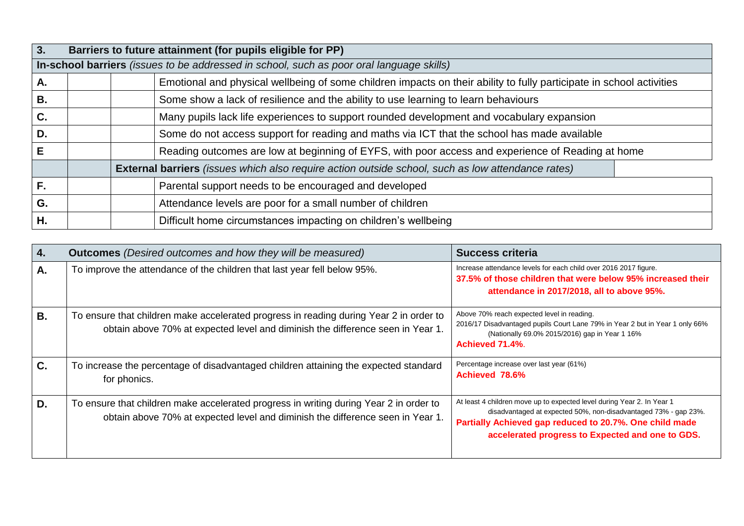| 3. |                                                                                          |                                                                                           | Barriers to future attainment (for pupils eligible for PP)                                                           |  |  |
|----|------------------------------------------------------------------------------------------|-------------------------------------------------------------------------------------------|----------------------------------------------------------------------------------------------------------------------|--|--|
|    | In-school barriers (issues to be addressed in school, such as poor oral language skills) |                                                                                           |                                                                                                                      |  |  |
| А. |                                                                                          |                                                                                           | Emotional and physical wellbeing of some children impacts on their ability to fully participate in school activities |  |  |
| В. |                                                                                          | Some show a lack of resilience and the ability to use learning to learn behaviours        |                                                                                                                      |  |  |
| C. |                                                                                          | Many pupils lack life experiences to support rounded development and vocabulary expansion |                                                                                                                      |  |  |
| D. |                                                                                          |                                                                                           | Some do not access support for reading and maths via ICT that the school has made available                          |  |  |
| Е  |                                                                                          |                                                                                           | Reading outcomes are low at beginning of EYFS, with poor access and experience of Reading at home                    |  |  |
|    |                                                                                          |                                                                                           | <b>External barriers</b> (issues which also require action outside school, such as low attendance rates)             |  |  |
| F. |                                                                                          |                                                                                           | Parental support needs to be encouraged and developed                                                                |  |  |
| G. |                                                                                          |                                                                                           | Attendance levels are poor for a small number of children                                                            |  |  |
| Η. |                                                                                          |                                                                                           | Difficult home circumstances impacting on children's wellbeing                                                       |  |  |

| 4.        | <b>Outcomes</b> (Desired outcomes and how they will be measured)                                                                                                         | <b>Success criteria</b>                                                                                                                                                                                                                                  |
|-----------|--------------------------------------------------------------------------------------------------------------------------------------------------------------------------|----------------------------------------------------------------------------------------------------------------------------------------------------------------------------------------------------------------------------------------------------------|
| А.        | To improve the attendance of the children that last year fell below 95%.                                                                                                 | Increase attendance levels for each child over 2016 2017 figure.<br>37.5% of those children that were below 95% increased their<br>attendance in 2017/2018, all to above 95%.                                                                            |
| <b>B.</b> | To ensure that children make accelerated progress in reading during Year 2 in order to<br>obtain above 70% at expected level and diminish the difference seen in Year 1. | Above 70% reach expected level in reading.<br>2016/17 Disadvantaged pupils Court Lane 79% in Year 2 but in Year 1 only 66%<br>(Nationally 69.0% 2015/2016) gap in Year 1 16%<br>Achieved 71.4%.                                                          |
| C.        | To increase the percentage of disadvantaged children attaining the expected standard<br>for phonics.                                                                     | Percentage increase over last year (61%)<br>Achieved 78.6%                                                                                                                                                                                               |
| D.        | To ensure that children make accelerated progress in writing during Year 2 in order to<br>obtain above 70% at expected level and diminish the difference seen in Year 1. | At least 4 children move up to expected level during Year 2. In Year 1<br>disadvantaged at expected 50%, non-disadvantaged 73% - gap 23%.<br>Partially Achieved gap reduced to 20.7%. One child made<br>accelerated progress to Expected and one to GDS. |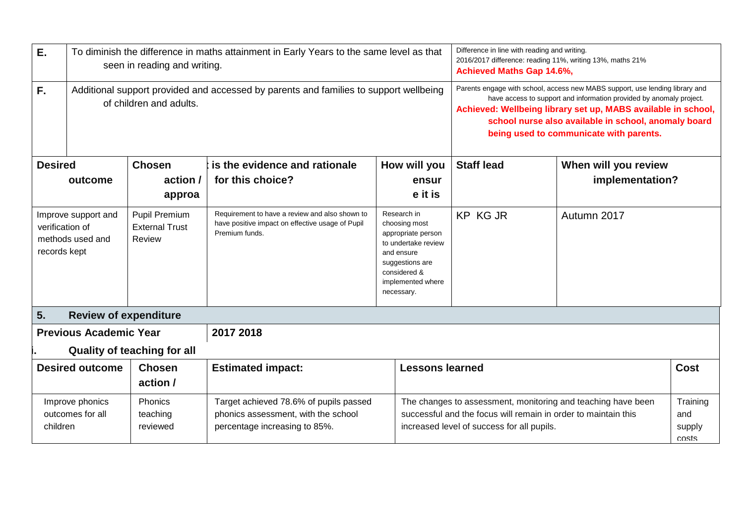| E.                                                                                                                                                                                                   |                                                                                                           | seen in reading and writing.                                                                                                                                                 | To diminish the difference in maths attainment in Early Years to the same level as that                              |                                                                                                                                                               | Difference in line with reading and writing.<br>2016/2017 difference: reading 11%, writing 13%, maths 21%<br><b>Achieved Maths Gap 14.6%,</b> |                                                                                                                                                                                                                                                                                                                         |  |
|------------------------------------------------------------------------------------------------------------------------------------------------------------------------------------------------------|-----------------------------------------------------------------------------------------------------------|------------------------------------------------------------------------------------------------------------------------------------------------------------------------------|----------------------------------------------------------------------------------------------------------------------|---------------------------------------------------------------------------------------------------------------------------------------------------------------|-----------------------------------------------------------------------------------------------------------------------------------------------|-------------------------------------------------------------------------------------------------------------------------------------------------------------------------------------------------------------------------------------------------------------------------------------------------------------------------|--|
| F.<br>Additional support provided and accessed by parents and families to support wellbeing<br>of children and adults.                                                                               |                                                                                                           |                                                                                                                                                                              |                                                                                                                      |                                                                                                                                                               |                                                                                                                                               | Parents engage with school, access new MABS support, use lending library and<br>have access to support and information provided by anomaly project.<br>Achieved: Wellbeing library set up, MABS available in school,<br>school nurse also available in school, anomaly board<br>being used to communicate with parents. |  |
| <b>Desired</b><br>is the evidence and rationale<br><b>Chosen</b><br>How will you                                                                                                                     |                                                                                                           |                                                                                                                                                                              | <b>Staff lead</b>                                                                                                    | When will you review                                                                                                                                          |                                                                                                                                               |                                                                                                                                                                                                                                                                                                                         |  |
| for this choice?<br>action /<br>outcome<br>ensur<br>e it is<br>approa                                                                                                                                |                                                                                                           |                                                                                                                                                                              |                                                                                                                      |                                                                                                                                                               | implementation?                                                                                                                               |                                                                                                                                                                                                                                                                                                                         |  |
| <b>Pupil Premium</b><br>Improve support and<br><b>External Trust</b><br>verification of<br>methods used and<br>Review<br>records kept                                                                |                                                                                                           |                                                                                                                                                                              | Requirement to have a review and also shown to<br>have positive impact on effective usage of Pupil<br>Premium funds. | Research in<br>choosing most<br>appropriate person<br>to undertake review<br>and ensure<br>suggestions are<br>considered &<br>implemented where<br>necessary. | <b>KP KG JR</b>                                                                                                                               | Autumn 2017                                                                                                                                                                                                                                                                                                             |  |
| 5.                                                                                                                                                                                                   | <b>Review of expenditure</b>                                                                              |                                                                                                                                                                              |                                                                                                                      |                                                                                                                                                               |                                                                                                                                               |                                                                                                                                                                                                                                                                                                                         |  |
|                                                                                                                                                                                                      | <b>Previous Academic Year</b>                                                                             |                                                                                                                                                                              | 2017 2018                                                                                                            |                                                                                                                                                               |                                                                                                                                               |                                                                                                                                                                                                                                                                                                                         |  |
|                                                                                                                                                                                                      |                                                                                                           | <b>Quality of teaching for all</b>                                                                                                                                           |                                                                                                                      |                                                                                                                                                               |                                                                                                                                               |                                                                                                                                                                                                                                                                                                                         |  |
|                                                                                                                                                                                                      | <b>Desired outcome</b><br><b>Estimated impact:</b><br><b>Lessons learned</b><br><b>Chosen</b><br>action / |                                                                                                                                                                              |                                                                                                                      |                                                                                                                                                               | <b>Cost</b>                                                                                                                                   |                                                                                                                                                                                                                                                                                                                         |  |
| Phonics<br>Improve phonics<br>Target achieved 78.6% of pupils passed<br>phonics assessment, with the school<br>outcomes for all<br>teaching<br>children<br>reviewed<br>percentage increasing to 85%. |                                                                                                           | The changes to assessment, monitoring and teaching have been<br>successful and the focus will remain in order to maintain this<br>increased level of success for all pupils. |                                                                                                                      | Training<br>and<br>supply<br>costs                                                                                                                            |                                                                                                                                               |                                                                                                                                                                                                                                                                                                                         |  |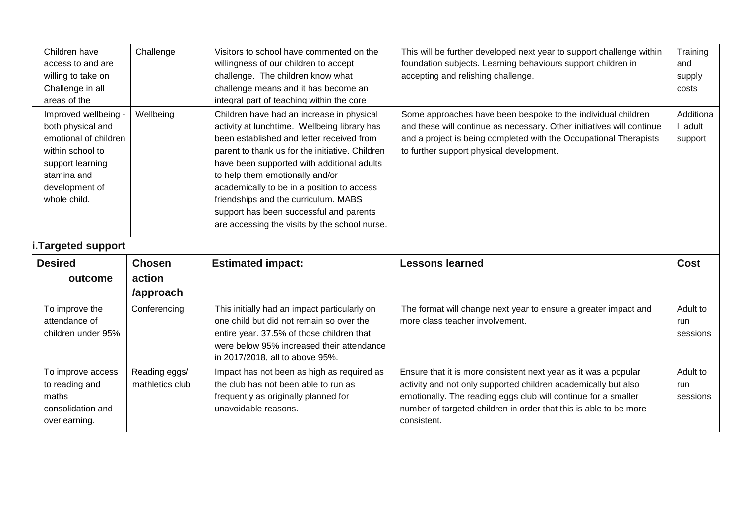| Children have<br>access to and are<br>willing to take on<br>Challenge in all<br>areas of the                                                                | Challenge                        | Visitors to school have commented on the<br>willingness of our children to accept<br>challenge. The children know what<br>challenge means and it has become an<br>integral part of teaching within the core                                                                                                                                                                                                                                                  | This will be further developed next year to support challenge within<br>foundation subjects. Learning behaviours support children in<br>accepting and relishing challenge.                                                                                                              | Training<br>and<br>supply<br>costs |
|-------------------------------------------------------------------------------------------------------------------------------------------------------------|----------------------------------|--------------------------------------------------------------------------------------------------------------------------------------------------------------------------------------------------------------------------------------------------------------------------------------------------------------------------------------------------------------------------------------------------------------------------------------------------------------|-----------------------------------------------------------------------------------------------------------------------------------------------------------------------------------------------------------------------------------------------------------------------------------------|------------------------------------|
| Improved wellbeing -<br>both physical and<br>emotional of children<br>within school to<br>support learning<br>stamina and<br>development of<br>whole child. | Wellbeing                        | Children have had an increase in physical<br>activity at lunchtime. Wellbeing library has<br>been established and letter received from<br>parent to thank us for the initiative. Children<br>have been supported with additional adults<br>to help them emotionally and/or<br>academically to be in a position to access<br>friendships and the curriculum. MABS<br>support has been successful and parents<br>are accessing the visits by the school nurse. | Some approaches have been bespoke to the individual children<br>and these will continue as necessary. Other initiatives will continue<br>and a project is being completed with the Occupational Therapists<br>to further support physical development.                                  | Additiona<br>l adult<br>support    |
| <b>Targeted support</b>                                                                                                                                     |                                  |                                                                                                                                                                                                                                                                                                                                                                                                                                                              |                                                                                                                                                                                                                                                                                         |                                    |
| <b>Desired</b>                                                                                                                                              | <b>Chosen</b>                    | <b>Estimated impact:</b>                                                                                                                                                                                                                                                                                                                                                                                                                                     | <b>Lessons learned</b>                                                                                                                                                                                                                                                                  | <b>Cost</b>                        |
| outcome                                                                                                                                                     | action<br>/approach              |                                                                                                                                                                                                                                                                                                                                                                                                                                                              |                                                                                                                                                                                                                                                                                         |                                    |
| To improve the<br>attendance of<br>children under 95%                                                                                                       | Conferencing                     | This initially had an impact particularly on<br>one child but did not remain so over the<br>entire year. 37.5% of those children that<br>were below 95% increased their attendance<br>in 2017/2018, all to above 95%.                                                                                                                                                                                                                                        | The format will change next year to ensure a greater impact and<br>more class teacher involvement.                                                                                                                                                                                      | Adult to<br>run<br>sessions        |
| To improve access<br>to reading and<br>maths<br>consolidation and<br>overlearning.                                                                          | Reading eggs/<br>mathletics club | Impact has not been as high as required as<br>the club has not been able to run as<br>frequently as originally planned for<br>unavoidable reasons.                                                                                                                                                                                                                                                                                                           | Ensure that it is more consistent next year as it was a popular<br>activity and not only supported children academically but also<br>emotionally. The reading eggs club will continue for a smaller<br>number of targeted children in order that this is able to be more<br>consistent. | Adult to<br>run<br>sessions        |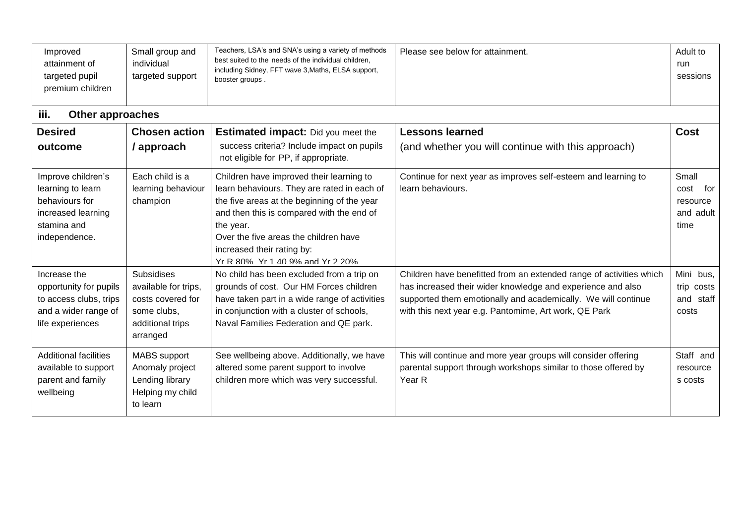| Improved<br>attainment of<br>targeted pupil<br>premium children                                                 | Small group and<br>individual<br>targeted support                                                             | Teachers, LSA's and SNA's using a variety of methods<br>best suited to the needs of the individual children,<br>including Sidney, FFT wave 3, Maths, ELSA support,<br>booster groups.                                                                                                                       | Please see below for attainment.                                                                                                                                                                                                                             | Adult to<br>run<br>sessions                           |
|-----------------------------------------------------------------------------------------------------------------|---------------------------------------------------------------------------------------------------------------|-------------------------------------------------------------------------------------------------------------------------------------------------------------------------------------------------------------------------------------------------------------------------------------------------------------|--------------------------------------------------------------------------------------------------------------------------------------------------------------------------------------------------------------------------------------------------------------|-------------------------------------------------------|
| iii.<br>Other approaches                                                                                        |                                                                                                               |                                                                                                                                                                                                                                                                                                             |                                                                                                                                                                                                                                                              |                                                       |
| <b>Desired</b>                                                                                                  | <b>Chosen action</b>                                                                                          | <b>Estimated impact:</b> Did you meet the                                                                                                                                                                                                                                                                   | <b>Lessons learned</b>                                                                                                                                                                                                                                       | Cost                                                  |
| outcome                                                                                                         | / approach                                                                                                    | success criteria? Include impact on pupils<br>not eligible for PP, if appropriate.                                                                                                                                                                                                                          | (and whether you will continue with this approach)                                                                                                                                                                                                           |                                                       |
| Improve children's<br>learning to learn<br>behaviours for<br>increased learning<br>stamina and<br>independence. | Each child is a<br>learning behaviour<br>champion                                                             | Children have improved their learning to<br>learn behaviours. They are rated in each of<br>the five areas at the beginning of the year<br>and then this is compared with the end of<br>the year.<br>Over the five areas the children have<br>increased their rating by:<br>Yr R 80% Yr 1 40 9% and Yr 2 20% | Continue for next year as improves self-esteem and learning to<br>learn behaviours.                                                                                                                                                                          | Small<br>cost<br>for<br>resource<br>and adult<br>time |
| Increase the<br>opportunity for pupils<br>to access clubs, trips<br>and a wider range of<br>life experiences    | <b>Subsidises</b><br>available for trips,<br>costs covered for<br>some clubs,<br>additional trips<br>arranged | No child has been excluded from a trip on<br>grounds of cost. Our HM Forces children<br>have taken part in a wide range of activities<br>in conjunction with a cluster of schools,<br>Naval Families Federation and QE park.                                                                                | Children have benefitted from an extended range of activities which<br>has increased their wider knowledge and experience and also<br>supported them emotionally and academically. We will continue<br>with this next year e.g. Pantomime, Art work, QE Park | Mini bus,<br>trip costs<br>and staff<br>costs         |
| <b>Additional facilities</b><br>available to support<br>parent and family<br>wellbeing                          | <b>MABS</b> support<br>Anomaly project<br>Lending library<br>Helping my child<br>to learn                     | See wellbeing above. Additionally, we have<br>altered some parent support to involve<br>children more which was very successful.                                                                                                                                                                            | This will continue and more year groups will consider offering<br>parental support through workshops similar to those offered by<br>Year R                                                                                                                   | Staff and<br>resource<br>s costs                      |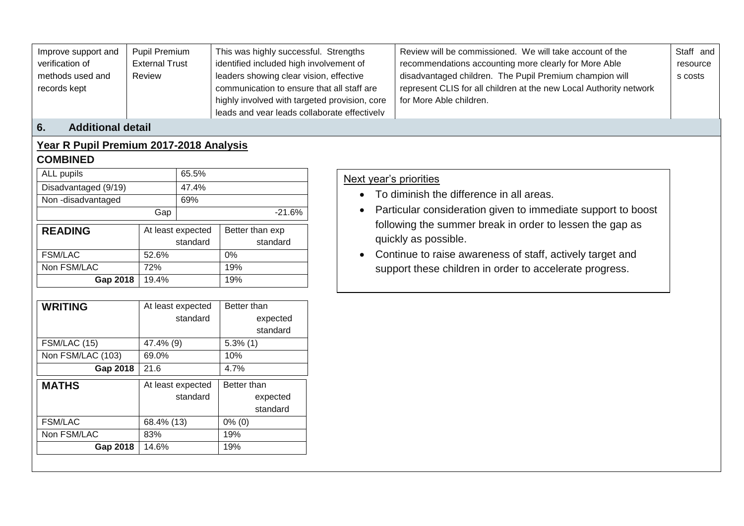| Improve support and | <b>Pupil Premium</b>  | This was highly successful. Strengths         | Review will be commissioned. We will take account of the           | Staff and |
|---------------------|-----------------------|-----------------------------------------------|--------------------------------------------------------------------|-----------|
| verification of     | <b>External Trust</b> | identified included high involvement of       | recommendations accounting more clearly for More Able              | resource  |
| methods used and    | Review                | leaders showing clear vision, effective       | disadvantaged children. The Pupil Premium champion will            | s costs   |
| records kept        |                       | communication to ensure that all staff are    | represent CLIS for all children at the new Local Authority network |           |
|                     |                       | highly involved with targeted provision, core | for More Able children.                                            |           |
|                     |                       | leads and vear leads collaborate effectively  |                                                                    |           |

#### **6. Additional detail**

#### **Year R Pupil Premium 2017-2018 Analysis COMBINED**

#### ALL pupils 65.5% Disadvantaged (9/19) 47.4% Non-disadvantaged 69%  $\boxed{\text{Gap}}$  -21.6% **READING** At least expected standard Better than exp standard FSM/LAC 52.6% 0% Non FSM/LAC 72% 19% **Gap 2018** 19.4% 19%

| <b>WRITING</b>    | At least expected | Better than |
|-------------------|-------------------|-------------|
|                   | standard          | expected    |
|                   |                   | standard    |
| FSM/LAC (15)      | 47.4% (9)         | $5.3\%$ (1) |
| Non FSM/LAC (103) | 69.0%             | 10%         |
| Gap 2018          | 21.6              | 4.7%        |
| <b>MATHS</b>      | At least expected | Better than |
|                   | standard          | expected    |
|                   |                   | standard    |
| <b>FSM/LAC</b>    | 68.4% (13)        | $0\%$ (0)   |
| Non FSM/LAC       | 83%               | 19%         |
| Gap 2018          | 14.6%             | 19%         |
|                   |                   |             |

#### Next year's priorities

- To diminish the difference in all areas.
- Particular consideration given to immediate support to boost following the summer break in order to lessen the gap as quickly as possible.
- Continue to raise awareness of staff, actively target and support these children in order to accelerate progress.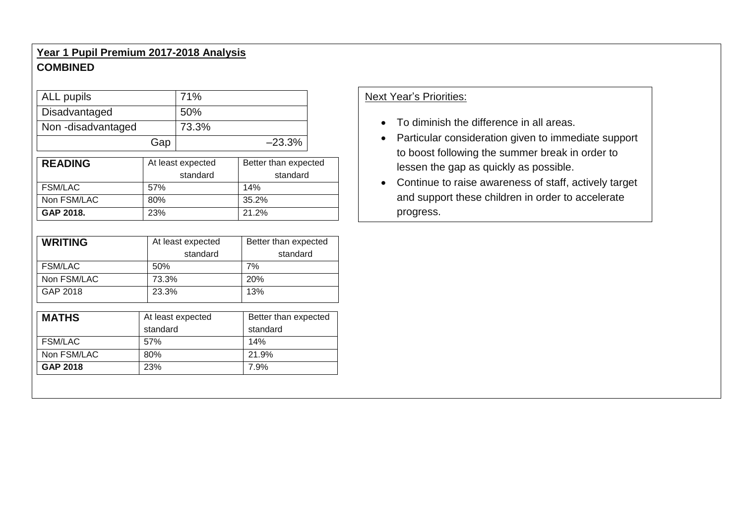## **Year 1 Pupil Premium 2017-2018 Analysis COMBINED**

| ALL pupils        |     | 71%                           |                                  | <b>Next Year's Priorities:</b>                                                            |  |  |
|-------------------|-----|-------------------------------|----------------------------------|-------------------------------------------------------------------------------------------|--|--|
| Disadvantaged     |     | 50%                           |                                  |                                                                                           |  |  |
| Non-disadvantaged |     | 73.3%                         |                                  | • To diminish the difference in all areas.                                                |  |  |
|                   | Gap |                               | $-23.3%$                         | • Particular consideration given to immediate support                                     |  |  |
| <b>READING</b>    |     | At least expected<br>standard | Better than expected<br>standard | to boost following the summer break in order to<br>lessen the gap as quickly as possible. |  |  |
| <b>FSM/LAC</b>    | 57% |                               | 14%                              | • Continue to raise awareness of staff, actively target                                   |  |  |
| Non FSM/LAC       | 80% |                               | 35.2%                            | and support these children in order to accelerate                                         |  |  |
| GAP 2018.         | 23% |                               | 21.2%                            | progress.                                                                                 |  |  |

| <b>WRITING</b> | At least expected<br>standard | Better than expected<br>standard |
|----------------|-------------------------------|----------------------------------|
| <b>FSM/LAC</b> | 50%                           | 7%                               |
| Non FSM/LAC    | 73.3%                         | 20%                              |
| GAP 2018       | 23.3%                         | 13%                              |

| <b>MATHS</b>   | At least expected | Better than expected |
|----------------|-------------------|----------------------|
|                | standard          | standard             |
| <b>FSM/LAC</b> | 57%               | 14%                  |
| Non FSM/LAC    | 80%               | 21.9%                |
| GAP 2018       | 23%               | 7.9%                 |

### Next Year's Priorities:

- To diminish the difference in all areas.
- Particular consideration given to immediate support to boost following the summer break in order to
- Continue to raise awareness of staff, actively target and support these children in order to accelerate progress.